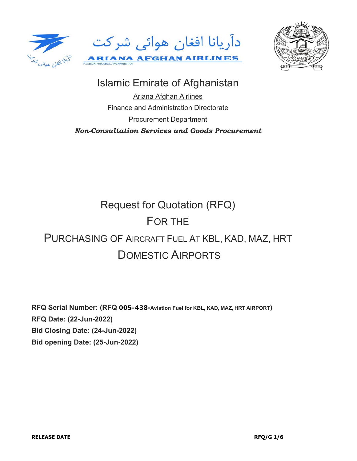



# Islamic Emirate of Afghanistan

Ariana Afghan Airlines Finance and Administration Directorate Procurement Department *Non-Consultation Services and Goods Procurement*

# Request for Quotation (RFQ) FOR THE PURCHASING OF AIRCRAFT FUEL AT KBL, KAD, MAZ, HRT DOMESTIC AIRPORTS

**RFQ Serial Number: (RFQ 005-438-Aviation Fuel for KBL, KAD, MAZ, HRT AIRPORT) RFQ Date: (22-Jun-2022) Bid Closing Date: (24-Jun-2022) Bid opening Date: (25-Jun-2022)**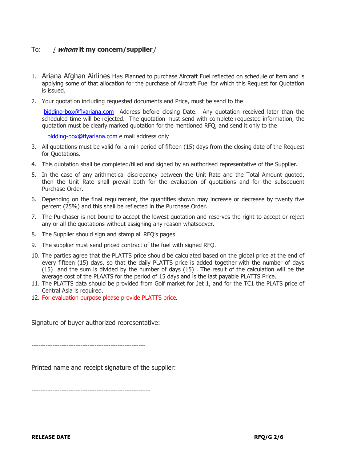# To: [ **whom it my concern/supplier**]

- 1. Ariana Afghan Airlines Has Planned to purchase Aircraft Fuel reflected on schedule of item and is applying some of that allocation for the purchase of Aircraft Fuel for which this Request for Quotation is issued.
- 2. Your quotation including requested documents and Price, must be send to the

bidding-box@flyariana.com Address before closing Date. Any quotation received later than the scheduled time will be rejected. The quotation must send with complete requested information, the quotation must be clearly marked quotation for the mentioned RFQ, and send it only to the

bidding-box@flyariana.com e mail address only

- 3. All quotations must be valid for a min period of fifteen (15) days from the closing date of the Request for Quotations.
- 4. This quotation shall be completed/filled and signed by an authorised representative of the Supplier.
- 5. In the case of any arithmetical discrepancy between the Unit Rate and the Total Amount quoted, then the Unit Rate shall prevail both for the evaluation of quotations and for the subsequent Purchase Order.
- 6. Depending on the final requirement, the quantities shown may increase or decrease by twenty five percent (25%) and this shall be reflected in the Purchase Order.
- 7. The Purchaser is not bound to accept the lowest quotation and reserves the right to accept or reject any or all the quotations without assigning any reason whatsoever.
- 8. The Supplier should sign and stamp all RFQ's pages
- 9. The supplier must send priced contract of the fuel with signed RFQ.
- 10. The parties agree that the PLATTS price should be calculated based on the global price at the end of every fifteen (15) days, so that the daily PLATTS price is added together with the number of days (15) and the sum is divided by the number of days (15) . The result of the calculation will be the average cost of the PLAATS for the period of 15 days and is the last payable PLATTS Price.
- 11. The PLATTS data should be provided from Golf market for Jet 1, and for the TC1 the PLATS price of Central Asia is required.
- 12. For evaluation purpose please provide PLATTS price.

Signature of buyer authorized representative:

-------------------------------------------------

Printed name and receipt signature of the supplier:

---------------------------------------------------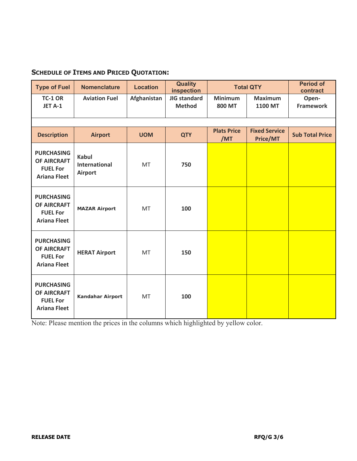# **SCHEDULE OF ITEMS AND PRICED QUOTATION:**

| <b>Type of Fuel</b>                                                               | <b>Nomenclature</b>                                    | <b>Location</b> | <b>Quality</b><br>inspection  |                                 | <b>Total QTY</b>                 | <b>Period of</b><br>contract |  |
|-----------------------------------------------------------------------------------|--------------------------------------------------------|-----------------|-------------------------------|---------------------------------|----------------------------------|------------------------------|--|
| <b>TC-1 OR</b><br>JET A-1                                                         | <b>Aviation Fuel</b>                                   | Afghanistan     | JIG standard<br><b>Method</b> | <b>Minimum</b><br><b>800 MT</b> | <b>Maximum</b><br><b>1100 MT</b> | Open-<br><b>Framework</b>    |  |
|                                                                                   |                                                        |                 |                               |                                 |                                  |                              |  |
| <b>Description</b>                                                                | <b>Airport</b>                                         | <b>UOM</b>      | <b>QTY</b>                    | <b>Plats Price</b><br>/MT       | <b>Fixed Service</b><br>Price/MT | <b>Sub Total Price</b>       |  |
| <b>PURCHASING</b><br><b>OF AIRCRAFT</b><br><b>FUEL For</b><br><b>Ariana Fleet</b> | <b>Kabul</b><br><b>International</b><br><b>Airport</b> | MT              | 750                           |                                 |                                  |                              |  |
| <b>PURCHASING</b><br><b>OF AIRCRAFT</b><br><b>FUEL For</b><br><b>Ariana Fleet</b> | <b>MAZAR Airport</b>                                   | MT              | 100                           |                                 |                                  |                              |  |
| <b>PURCHASING</b><br>OF AIRCRAFT<br><b>FUEL For</b><br><b>Ariana Fleet</b>        | <b>HERAT Airport</b>                                   | MT              | 150                           |                                 |                                  |                              |  |
| <b>PURCHASING</b><br><b>OF AIRCRAFT</b><br><b>FUEL For</b><br><b>Ariana Fleet</b> | Kandahar Airport                                       | MT              | 100                           |                                 |                                  |                              |  |

Note: Please mention the prices in the columns which highlighted by yellow color.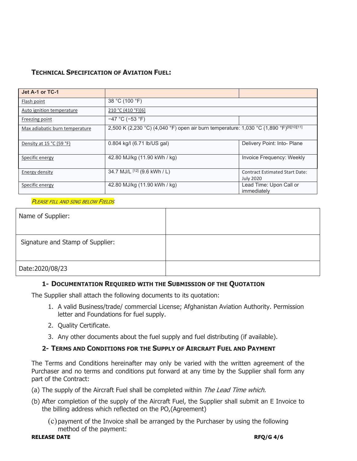# **TECHNICAL SPECIFICATION OF AVIATION FUEL:**

| Jet A-1 or TC-1                |                                                                                                     |                                                           |  |  |
|--------------------------------|-----------------------------------------------------------------------------------------------------|-----------------------------------------------------------|--|--|
| Flash point                    | 38 °C (100 °F)                                                                                      |                                                           |  |  |
| Auto ignition temperature      | 210 °C (410 °F)[6]                                                                                  |                                                           |  |  |
| Freezing point                 | $-47$ °C ( $-53$ °F)                                                                                |                                                           |  |  |
| Max adiabatic burn temperature | 2,500 K (2,230 °C) (4,040 °F) open air burn temperature: 1,030 °C (1,890 °F) <sup>[9][10][11]</sup> |                                                           |  |  |
| Density at 15 °C (59 °F)       | 0.804 kg/l (6.71 lb/US gal)                                                                         | Delivery Point: Into- Plane                               |  |  |
| Specific energy                | 42.80 MJ/kg (11.90 kWh / kg)                                                                        | Invoice Frequency: Weekly                                 |  |  |
| Energy density                 | 34.7 MJ/L [12] (9.6 kWh / L)                                                                        | <b>Contract Estimated Start Date:</b><br><b>July 2020</b> |  |  |
| Specific energy                | 42.80 MJ/kg (11.90 kWh / kg)                                                                        | Lead Time: Upon Call or<br>immediately                    |  |  |

#### **PLEASE FILL AND SING BELOW FIELDS**

| Name of Supplier:                |  |
|----------------------------------|--|
| Signature and Stamp of Supplier: |  |
| Date: 2020/08/23                 |  |

#### **1- DOCUMENTATION REQUIRED WITH THE SUBMISSION OF THE QUOTATION**

The Supplier shall attach the following documents to its quotation:

- 1. A valid Business/trade/ commercial License; Afghanistan Aviation Authority. Permission letter and Foundations for fuel supply.
- 2. Quality Certificate.
- 3. Any other documents about the fuel supply and fuel distributing (if available).

# **2- TERMS AND CONDITIONS FOR THE SUPPLY OF AIRCRAFT FUEL AND PAYMENT**

The Terms and Conditions hereinafter may only be varied with the written agreement of the Purchaser and no terms and conditions put forward at any time by the Supplier shall form any part of the Contract:

- (a) The supply of the Aircraft Fuel shall be completed within The Lead Time which.
- (b) After completion of the supply of the Aircraft Fuel, the Supplier shall submit an E Invoice to the billing address which reflected on the PO,(Agreement)
	- (c)payment of the Invoice shall be arranged by the Purchaser by using the following method of the payment: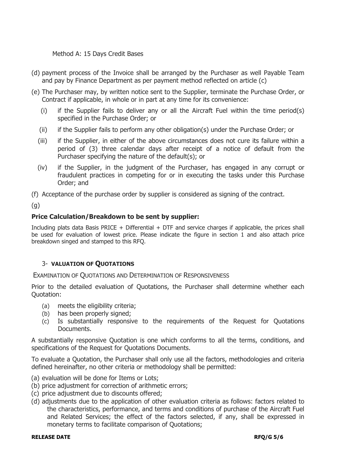Method A: 15 Days Credit Bases

- (d) payment process of the Invoice shall be arranged by the Purchaser as well Payable Team and pay by Finance Department as per payment method reflected on article (c)
- (e) The Purchaser may, by written notice sent to the Supplier, terminate the Purchase Order, or Contract if applicable, in whole or in part at any time for its convenience:
	- (i) if the Supplier fails to deliver any or all the Aircraft Fuel within the time period(s) specified in the Purchase Order; or
	- (ii) if the Supplier fails to perform any other obligation(s) under the Purchase Order; or
	- (iii) if the Supplier, in either of the above circumstances does not cure its failure within a period of (3) three calendar days after receipt of a notice of default from the Purchaser specifying the nature of the default(s); or
	- (iv) if the Supplier, in the judgment of the Purchaser, has engaged in any corrupt or fraudulent practices in competing for or in executing the tasks under this Purchase Order; and

(f) Acceptance of the purchase order by supplier is considered as signing of the contract.

(g)

# **Price Calculation/Breakdown to be sent by supplier:**

Including plats data Basis PRICE + Differential + DTF and service charges if applicable, the prices shall be used for evaluation of lowest price. Please indicate the figure in section 1 and also attach price breakdown singed and stamped to this RFQ.

# 3- **VALUATION OF QUOTATIONS**

EXAMINATION OF QUOTATIONS AND DETERMINATION OF RESPONSIVENESS

Prior to the detailed evaluation of Quotations, the Purchaser shall determine whether each Quotation:

- (a) meets the eligibility criteria;
- (b) has been properly signed;
- (c) Is substantially responsive to the requirements of the Request for Quotations Documents.

A substantially responsive Quotation is one which conforms to all the terms, conditions, and specifications of the Request for Quotations Documents.

To evaluate a Quotation, the Purchaser shall only use all the factors, methodologies and criteria defined hereinafter, no other criteria or methodology shall be permitted:

- (a) evaluation will be done for Items or Lots;
- (b) price adjustment for correction of arithmetic errors;
- (c) price adjustment due to discounts offered;
- (d) adjustments due to the application of other evaluation criteria as follows: factors related to the characteristics, performance, and terms and conditions of purchase of the Aircraft Fuel and Related Services; the effect of the factors selected, if any, shall be expressed in monetary terms to facilitate comparison of Quotations;